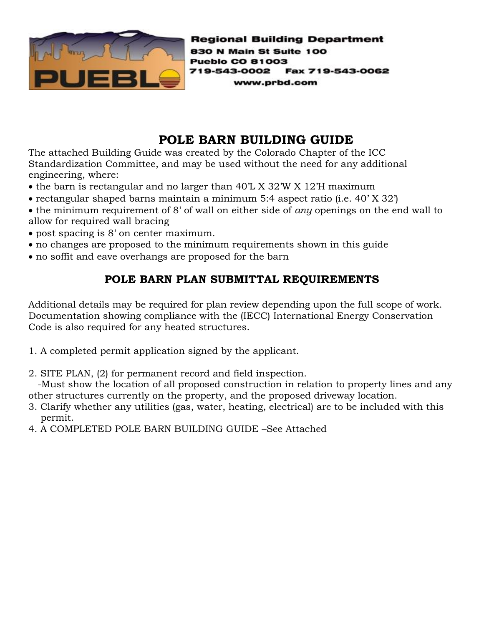

**Regional Building Department** 830 N Main St Suite 100 **Pueblo CO 81003** 719-543-0002 Fax 719-543-0062 www.prbd.com

### **POLE BARN BUILDING GUIDE**

The attached Building Guide was created by the Colorado Chapter of the ICC Standardization Committee, and may be used without the need for any additional engineering, where:

- the barn is rectangular and no larger than 40'L X 32'W X 12'H maximum
- rectangular shaped barns maintain a minimum 5:4 aspect ratio (i.e. 40' X 32')
- the minimum requirement of 8' of wall on either side of *any* openings on the end wall to allow for required wall bracing
- post spacing is 8' on center maximum.
- no changes are proposed to the minimum requirements shown in this guide
- no soffit and eave overhangs are proposed for the barn

#### **POLE BARN PLAN SUBMITTAL REQUIREMENTS**

Additional details may be required for plan review depending upon the full scope of work. Documentation showing compliance with the (IECC) International Energy Conservation Code is also required for any heated structures.

- 1. A completed permit application signed by the applicant.
- 2. SITE PLAN, (2) for permanent record and field inspection.

 -Must show the location of all proposed construction in relation to property lines and any other structures currently on the property, and the proposed driveway location.

- 3. Clarify whether any utilities (gas, water, heating, electrical) are to be included with this permit.
- 4. A COMPLETED POLE BARN BUILDING GUIDE –See Attached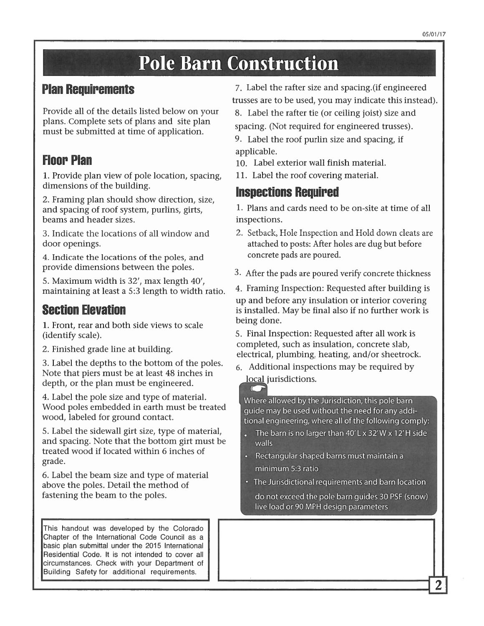# **Pole Barn Construction**

#### **Plan Requirements**

Provide all of the details listed below on your plans. Complete sets of plans and site plan must be submitted at time of application.

## **Floor Plan**

1. Provide plan view of pole location, spacing, dimensions of the building.

2. Framing plan should show direction, size, and spacing of roof system, purlins, girts, beams and header sizes.

3. Indicate the locations of all window and door openings.

4. Indicate the locations of the poles, and provide dimensions between the poles.

5. Maximum width is 32', max length 40', maintaining at least a 5:3 length to width ratio.

#### **Section Elevation**

1. Front, rear and both side views to scale (identify scale).

2. Finished grade line at building.

3. Label the depths to the bottom of the poles. Note that piers must be at least 48 inches in depth, or the plan must be engineered.

4. Label the pole size and type of material. Wood poles embedded in earth must be treated wood, labeled for ground contact.

5. Label the sidewall girt size, type of material, and spacing. Note that the bottom girt must be treated wood if located within 6 inches of grade.

6. Label the beam size and type of material above the poles. Detail the method of fastening the beam to the poles.

This handout was developed by the Colorado Chapter of the International Code Council as a basic plan submittal under the 2015 International Residential Code. It is not intended to cover all circumstances. Check with your Department of Building Safety for additional requirements.

7. Label the rafter size and spacing. (if engineered trusses are to be used, you may indicate this instead).

8. Label the rafter tie (or ceiling joist) size and spacing. (Not required for engineered trusses).

9. Label the roof purlin size and spacing, if applicable.

- 10. Label exterior wall finish material.
- 11. Label the roof covering material.

### **Inspections Required**

1. Plans and cards need to be on-site at time of all inspections.

- 2. Setback, Hole Inspection and Hold down cleats are attached to posts: After holes are dug but before concrete pads are poured.
- 3. After the pads are poured verify concrete thickness
- 4. Framing Inspection: Requested after building is up and before any insulation or interior covering is installed. May be final also if no further work is

5. Final Inspection: Requested after all work is completed, such as insulation, concrete slab, electrical, plumbing, heating, and/or sheetrock.

6. Additional inspections may be required by local jurisdictions.

being done.

Where allowed by the Jurisdiction, this pole barn guide may be used without the need for any additional engineering, where all of the following comply:

- The barn is no larger than  $40'$  L x 32' W x 12' H side walls
- Rectangular shaped barns must maintain a
	- minimum 5:3 ratio
- The Jurisdictional requirements and barn location
	- do not exceed the pole barn quides 30 PSF (snow) live load or 90 MPH design parameters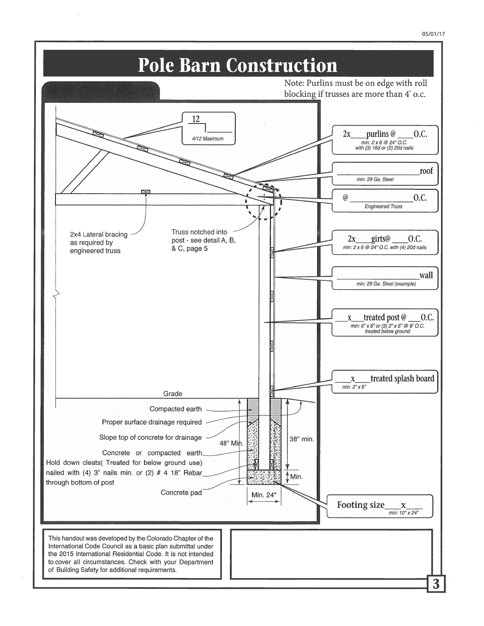

3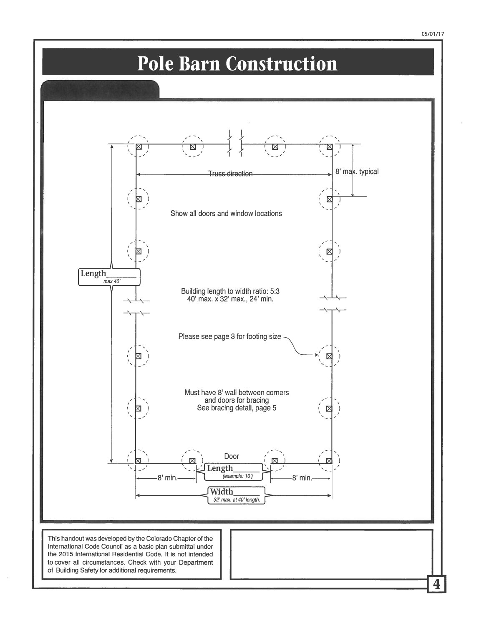

# Pole Barn Construction